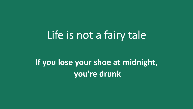# Life is not a fairy tale

**If you lose your shoe at midnight, you're drunk**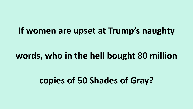#### **If women are upset at Trump's naughty**

#### **words, who in the hell bought 80 million**

# **copies of 50 Shades of Gray?**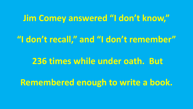#### **Jim Comey answered "I don't know,"**

# **"I don't recall," and "I don't remember"**

#### **236 times while under oath. But**

**Remembered enough to write a book.**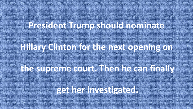### **President Trump should now the Second Trump shows**

# **Hillary Clinton for the next opening on**

# **the supreme court. Then he can finally**

### **get her investigated.**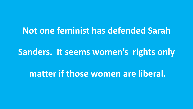#### **Not one feminist has defended Sarah**

#### **Sanders. It seems women's rights only**

**matter if those women are liberal.**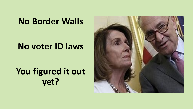# **No Border Walls**

#### **No voter ID laws**

# **You figured it out yet?**

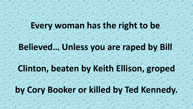#### **Every woman has the right to be**

# **Believed… Unless you are raped by Bill**

#### **Clinton, beaten by Keith Ellison, groped**

#### **by Cory Booker or killed by Ted Kennedy.**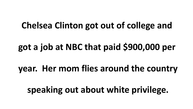# **Chelsea Clinton got out of college and**

**got a job at NBC that paid \$900,000 per** 

**year. Her mom flies around the country**

**speaking out about white privilege.**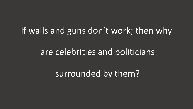#### If walls and guns don't work; then why

#### are celebrities and politicians

surrounded by them?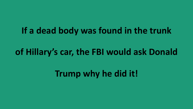# **If a dead body was found in the trunk**

# **of Hillary's car, the FBI would ask Donald**

**Trump why he did it!**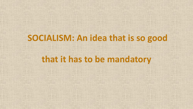#### **SOCIALISM: An idea that is so good**

#### **that it has to be mandatory**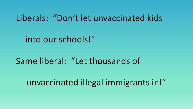#### Liberals: "Don't let unvaccinated kids

into our schools!"

# Same liberal: "Let thousands of

unvaccinated illegal immigrants in!"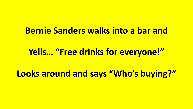#### **Bernie Sanders walks into a bar and**

#### **Yells… "Free drinks for everyone!"**

**Looks around and says "Who's buying?"**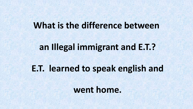#### **What is the difference between**

#### **an Illegal immigrant and E.T.?**

#### **E.T. learned to speak english and**

**went home.**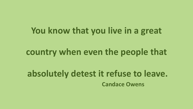# **You know that you live in a great**

#### **country when even the people that**

# **absolutely detest it refuse to leave. Candace Owens**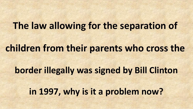# **The law allowing for the separation of**

# **children from their parents who cross the**

# **border illegally was signed by Bill Clinton**

**in 1997, why is it a problem now?**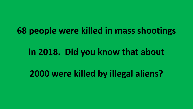**68 people were killed in mass shootings** 

#### **in 2018. Did you know that about**

**2000 were killed by illegal aliens?**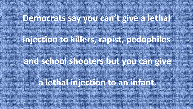# **Democrats say you can be ween a letter!**

### **injection to killers, rapist, pedophiles**

#### **and school shooters but you can give**

#### **a lethal injection to an infant.**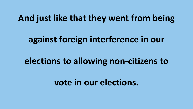#### **And just like that they went from being**

# **against foreign interference in our**

### **elections to allowing non-citizens to**

#### **vote in our elections.**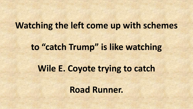#### **Watching the left come up with schemes**

#### **to "catch Trump" is like watching**

#### **Wile E. Coyote trying to catch**

**Road Runner.**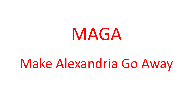# MAGA

# Make Alexandria Go Away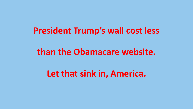#### **President Trump's wall cost less**

#### **than the Obamacare website.**

**Let that sink in, America.**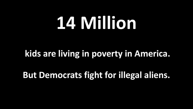# **14 Million**

# **kids are living in poverty in America.**

**But Democrats fight for illegal aliens.**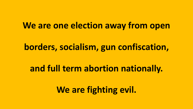#### **We are one election away from open**

#### **borders, socialism, gun confiscation,**

#### **and full term abortion nationally.**

**We are fighting evil.**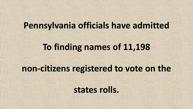#### **Pennsylvania officials have admitted**

# **To finding names of 11,198**

#### **non-citizens registered to vote on the**

**states rolls.**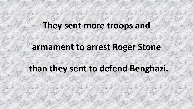#### **They sent more troops and**

#### **armament to arrest Roger Stone**

# **than they sent to defend Benghazi.**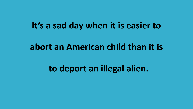#### **It's a sad day when it is easier to**

#### **abort an American child than it is**

# **to deport an illegal alien.**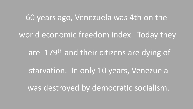#### 60 years ago, Venezuela was 4th on the

#### world economic freedom index. Today they

are 179<sup>th</sup> and their citizens are dying of

starvation. In only 10 years, Venezuela

was destroyed by democratic socialism.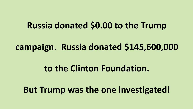### **Russia donated \$0.00 to the Trump**

**campaign. Russia donated \$145,600,000** 

### **to the Clinton Foundation.**

**But Trump was the one investigated!**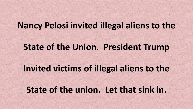#### **Nancy Pelosi invited illegal aliens to the**

#### **State of the Union. President Trump**

#### **Invited victims of illegal aliens to the**

#### **State of the union. Let that sink in.**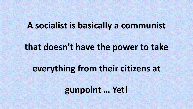#### **A socialist is basically a communist**

#### **that doesn't have the power to take**

# **everything from their citizens at**

**gunpoint … Yet!**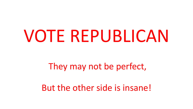# VOTE REPUBLICAN

#### They may not be perfect,

But the other side is insane!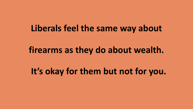#### **Liberals feel the same way about**

#### **firearms as they do about wealth.**

# **It's okay for them but not for you.**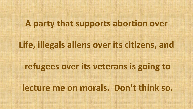#### **A party that supports abortion over**

### **Life, illegals aliens over its citizens, and**

#### **refugees over its veterans is going to**

#### **lecture me on morals. Don't think so.**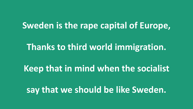#### **Sweden is the rape capital of Europe,**

### **Thanks to third world immigration.**

# **Keep that in mind when the socialist**

#### **say that we should be like Sweden.**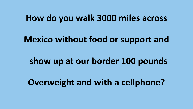#### **How do you walk 3000 miles across**

**Mexico without food or support and** 

**show up at our border 100 pounds** 

**Overweight and with a cellphone?**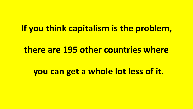#### **If you think capitalism is the problem,**

#### **there are 195 other countries where**

**you can get a whole lot less of it.**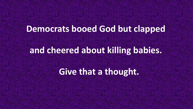#### **Democrats booed God but clapped**

#### **and cheered about killing babies.**

**Give that a thought.**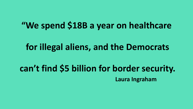#### **"We spend \$18B a year on healthcare**

#### **for illegal aliens, and the Democrats**

#### **can't find \$5 billion for border security. Laura Ingraham**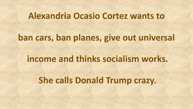#### **Alexandria Ocasio Cortez wants to**

# **ban cars, ban planes, give out universal**

#### **income and thinks socialism works.**

# **She calls Donald Trump crazy.**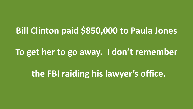# **Bill Clinton paid \$850,000 to Paula Jones**

#### **To get her to go away. I don't remember**

**the FBI raiding his lawyer's office.**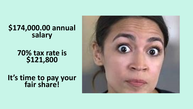#### **\$174,000.00 annual salary**

**70% tax rate is \$121,800** 

**It's time to pay your fair share!** 

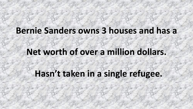#### **Bernie Sanders owns 3 houses and has a**

#### **Net worth of over a million dollars.**

**Hasn't taken in a single refugee.**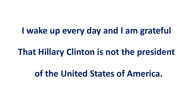**I wake up every day and I am grateful** 

#### **That Hillary Clinton is not the president**

**of the United States of America.**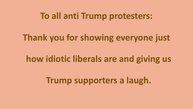#### **To all anti Trump protesters:**

#### **Thank you for showing everyone just**

# **how idiotic liberals are and giving us**

# **Trump supporters a laugh.**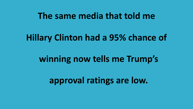#### **The same media that told me**

#### **Hillary Clinton had a 95% chance of**

### **winning now tells me Trump's**

**approval ratings are low.**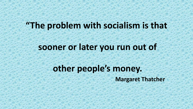#### **"The problem with socialism is that**

#### **sooner or later you run out of**

# **other people's money.**

**Margaret Thatcher**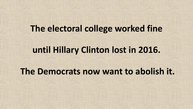#### **The electoral college worked fine**

#### **until Hillary Clinton lost in 2016.**

#### **The Democrats now want to abolish it.**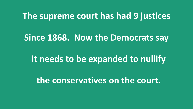#### **The supreme court has had 9 justices**

#### **Since 1868. Now the Democrats say**

# **it needs to be expanded to nullify**

**the conservatives on the court.**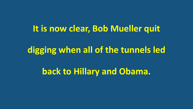#### **It is now clear, Bob Mueller quit**

### **digging when all of the tunnels led**

**back to Hillary and Obama.**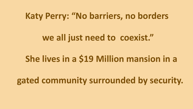#### **Katy Perry: "No barriers, no borders**

### **we all just need to coexist."**

# **She lives in a \$19 Million mansion in a**

**gated community surrounded by security.**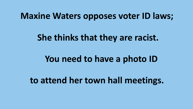#### **Maxine Waters opposes voter ID laws;**

#### **She thinks that they are racist.**

# **You need to have a photo ID**

**to attend her town hall meetings.**